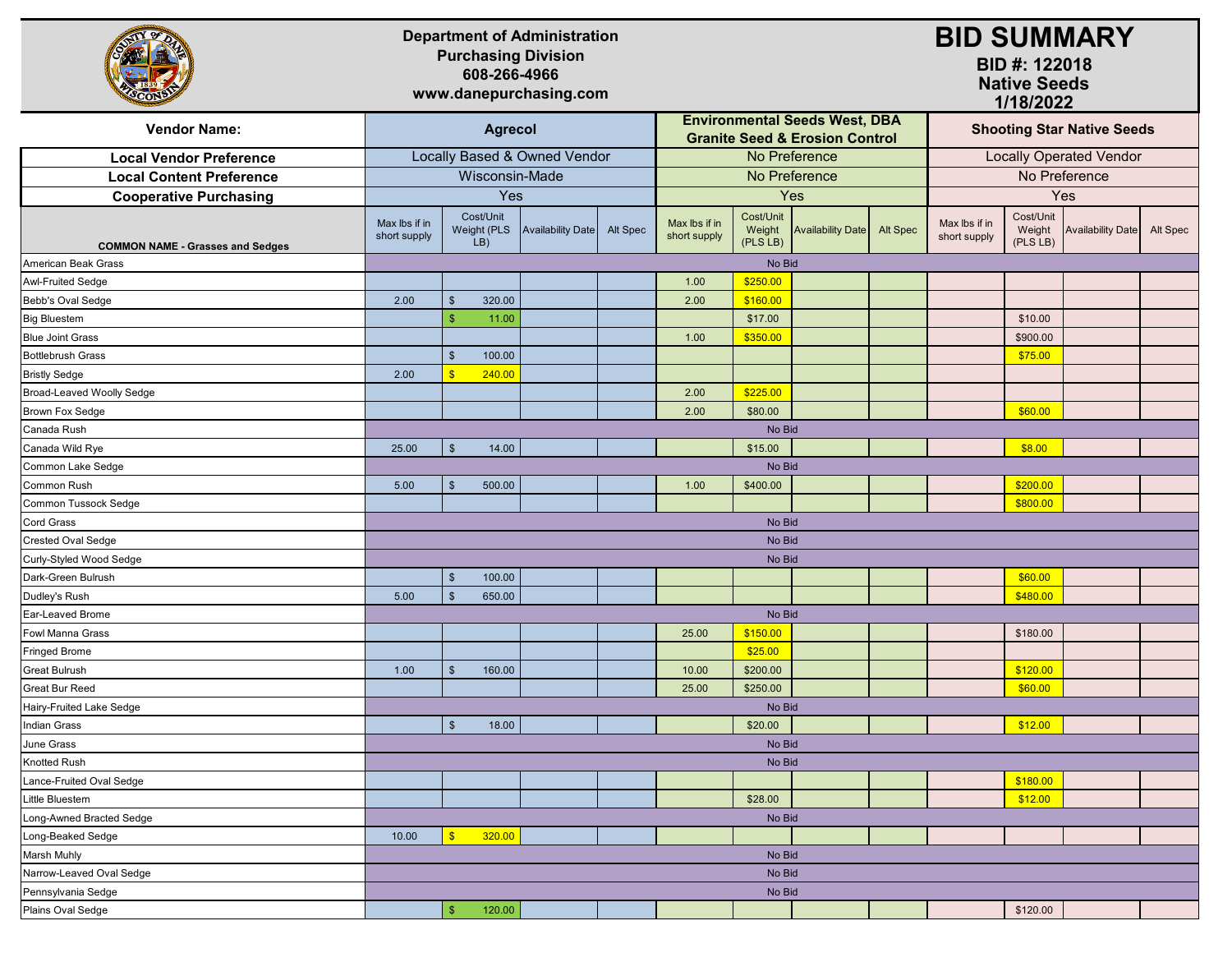|                                         |                               | <b>Purchasing Division</b><br>608-266-4966 | <b>Department of Administration</b><br>www.danepurchasing.com | <b>BID SUMMARY</b><br>BID #: 122018<br><b>Native Seeds</b><br>1/18/2022 |                               |                                 |                                                                                   |          |                                   |                                 |                          |          |  |
|-----------------------------------------|-------------------------------|--------------------------------------------|---------------------------------------------------------------|-------------------------------------------------------------------------|-------------------------------|---------------------------------|-----------------------------------------------------------------------------------|----------|-----------------------------------|---------------------------------|--------------------------|----------|--|
| <b>Vendor Name:</b>                     |                               | <b>Agrecol</b>                             |                                                               |                                                                         |                               |                                 | <b>Environmental Seeds West, DBA</b><br><b>Granite Seed &amp; Erosion Control</b> |          | <b>Shooting Star Native Seeds</b> |                                 |                          |          |  |
| <b>Local Vendor Preference</b>          |                               |                                            | Locally Based & Owned Vendor                                  |                                                                         |                               |                                 | No Preference                                                                     |          | <b>Locally Operated Vendor</b>    |                                 |                          |          |  |
| <b>Local Content Preference</b>         |                               | Wisconsin-Made                             |                                                               |                                                                         |                               |                                 | No Preference                                                                     |          | No Preference                     |                                 |                          |          |  |
| <b>Cooperative Purchasing</b>           |                               | Yes                                        |                                                               |                                                                         |                               |                                 | Yes                                                                               |          | Yes                               |                                 |                          |          |  |
| <b>COMMON NAME - Grasses and Sedges</b> | Max lbs if in<br>short supply | Cost/Unit<br>Weight (PLS<br>LB)            | <b>Availability Date</b>                                      | Alt Spec                                                                | Max lbs if in<br>short supply | Cost/Unit<br>Weight<br>(PLS LB) | <b>Availability Date</b>                                                          | Alt Spec | Max lbs if in<br>short supply     | Cost/Unit<br>Weight<br>(PLS LB) | <b>Availability Date</b> | Alt Spec |  |
| American Beak Grass                     |                               |                                            |                                                               |                                                                         |                               | No Bid                          |                                                                                   |          |                                   |                                 |                          |          |  |
| <b>Awl-Fruited Sedge</b>                |                               |                                            |                                                               |                                                                         | 1.00                          | \$250.00                        |                                                                                   |          |                                   |                                 |                          |          |  |
| Bebb's Oval Sedge                       | 2.00                          | $\mathfrak{s}$<br>320.00                   |                                                               |                                                                         | 2.00                          | \$160.00                        |                                                                                   |          |                                   |                                 |                          |          |  |
| <b>Big Bluestem</b>                     |                               | \$<br>11.00                                |                                                               |                                                                         |                               | \$17.00                         |                                                                                   |          |                                   | \$10.00                         |                          |          |  |
| <b>Blue Joint Grass</b>                 |                               |                                            |                                                               |                                                                         | 1.00                          | \$350.00                        |                                                                                   |          |                                   | \$900.00                        |                          |          |  |
| <b>Bottlebrush Grass</b>                |                               | 100.00<br>\$                               |                                                               |                                                                         |                               |                                 |                                                                                   |          |                                   | \$75.00                         |                          |          |  |
| <b>Bristly Sedge</b>                    | 2.00                          | $\overline{\mathbf{s}}$<br>240.00          |                                                               |                                                                         |                               |                                 |                                                                                   |          |                                   |                                 |                          |          |  |
| <b>Broad-Leaved Woolly Sedge</b>        |                               |                                            |                                                               |                                                                         | 2.00                          | \$225.00                        |                                                                                   |          |                                   |                                 |                          |          |  |
| Brown Fox Sedge                         |                               |                                            |                                                               |                                                                         | 2.00                          | \$80.00                         |                                                                                   |          |                                   | \$60.00                         |                          |          |  |
| Canada Rush                             |                               | No Bid                                     |                                                               |                                                                         |                               |                                 |                                                                                   |          |                                   |                                 |                          |          |  |
| Canada Wild Rye                         | 25.00                         | \$<br>14.00                                |                                                               |                                                                         |                               | \$15.00                         |                                                                                   |          |                                   | \$8.00                          |                          |          |  |
| Common Lake Sedge                       |                               | No Bid                                     |                                                               |                                                                         |                               |                                 |                                                                                   |          |                                   |                                 |                          |          |  |
| Common Rush                             | 5.00                          | $\mathfrak{L}$<br>500.00                   |                                                               |                                                                         | 1.00                          | \$400.00                        |                                                                                   |          |                                   | \$200.00                        |                          |          |  |
| Common Tussock Sedge                    |                               |                                            |                                                               |                                                                         |                               |                                 |                                                                                   |          |                                   | \$800.00                        |                          |          |  |
| Cord Grass                              |                               |                                            |                                                               |                                                                         |                               | No Bid                          |                                                                                   |          |                                   |                                 |                          |          |  |
| Crested Oval Sedge                      |                               |                                            |                                                               |                                                                         |                               | No Bid                          |                                                                                   |          |                                   |                                 |                          |          |  |
| Curly-Styled Wood Sedge                 |                               |                                            |                                                               |                                                                         |                               | No Bid                          |                                                                                   |          |                                   |                                 |                          |          |  |
| Dark-Green Bulrush                      |                               | $\sqrt[6]{3}$<br>100.00                    |                                                               |                                                                         |                               |                                 |                                                                                   |          |                                   | \$60.00                         |                          |          |  |
| Dudley's Rush                           | 5.00                          | \$<br>650.00                               |                                                               |                                                                         |                               |                                 |                                                                                   |          |                                   | \$480.00                        |                          |          |  |
| Ear-Leaved Brome                        |                               |                                            |                                                               |                                                                         |                               | No Bid                          |                                                                                   |          |                                   |                                 |                          |          |  |
| Fowl Manna Grass                        |                               |                                            |                                                               |                                                                         | 25.00                         | \$150.00                        |                                                                                   |          |                                   | \$180.00                        |                          |          |  |
| <b>Fringed Brome</b>                    |                               |                                            |                                                               |                                                                         |                               | \$25.00                         |                                                                                   |          |                                   |                                 |                          |          |  |
| <b>Great Bulrush</b>                    | 1.00                          | $\mathfrak{L}$<br>160.00                   |                                                               |                                                                         | 10.00                         | \$200.00                        |                                                                                   |          |                                   | \$120.00                        |                          |          |  |
| <b>Great Bur Reed</b>                   |                               |                                            |                                                               |                                                                         | 25.00                         | \$250.00                        |                                                                                   |          |                                   | \$60.00                         |                          |          |  |
| Hairy-Fruited Lake Sedge                |                               |                                            |                                                               |                                                                         |                               | No Bid                          |                                                                                   |          |                                   |                                 |                          |          |  |
| Indian Grass                            |                               | 18.00<br>$\frac{1}{2}$                     |                                                               |                                                                         |                               | \$20.00                         |                                                                                   |          |                                   | \$12.00                         |                          |          |  |
| June Grass                              |                               |                                            |                                                               |                                                                         |                               | No Bid                          |                                                                                   |          |                                   |                                 |                          |          |  |
| Knotted Rush                            |                               |                                            |                                                               |                                                                         |                               | No Bid                          |                                                                                   |          |                                   |                                 |                          |          |  |
| Lance-Fruited Oval Sedge                |                               |                                            |                                                               |                                                                         |                               |                                 |                                                                                   |          |                                   | \$180.00                        |                          |          |  |
| Little Bluestem                         |                               |                                            |                                                               |                                                                         |                               | \$28.00                         |                                                                                   |          |                                   | \$12.00                         |                          |          |  |
| Long-Awned Bracted Sedge                |                               |                                            |                                                               |                                                                         |                               | No Bid                          |                                                                                   |          |                                   |                                 |                          |          |  |
| Long-Beaked Sedge                       | 10.00                         | 320.00<br>$\sqrt[3]{3}$                    |                                                               |                                                                         |                               |                                 |                                                                                   |          |                                   |                                 |                          |          |  |
| Marsh Muhly                             |                               |                                            |                                                               |                                                                         |                               | No Bid                          |                                                                                   |          |                                   |                                 |                          |          |  |
| Narrow-Leaved Oval Sedge                |                               |                                            |                                                               |                                                                         |                               | No Bid                          |                                                                                   |          |                                   |                                 |                          |          |  |
| Pennsylvania Sedge                      |                               |                                            |                                                               |                                                                         |                               | No Bid                          |                                                                                   |          |                                   |                                 |                          |          |  |
| Plains Oval Sedge                       |                               | \$<br>120.00                               |                                                               |                                                                         |                               |                                 |                                                                                   |          |                                   | \$120.00                        |                          |          |  |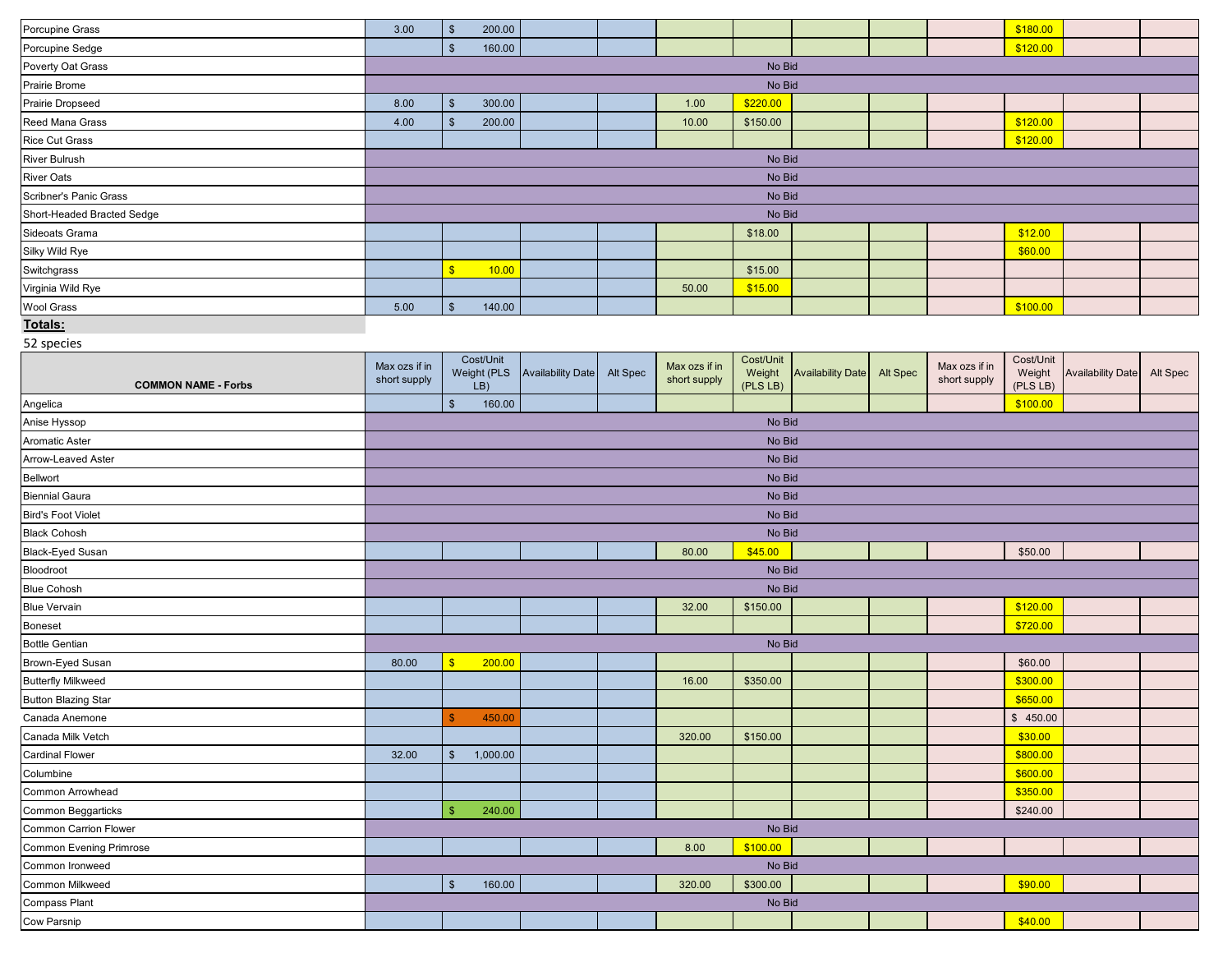| Porcupine Grass            | 3.00 | $\sqrt{3}$<br>200.00    |  |  |       |          |  |  |  | \$180.00 |  |  |  |  |
|----------------------------|------|-------------------------|--|--|-------|----------|--|--|--|----------|--|--|--|--|
| Porcupine Sedge            |      | 160.00<br>$$^{\circ}$   |  |  |       |          |  |  |  | \$120.00 |  |  |  |  |
| Poverty Oat Grass          |      | No Bid                  |  |  |       |          |  |  |  |          |  |  |  |  |
| Prairie Brome              |      | No Bid                  |  |  |       |          |  |  |  |          |  |  |  |  |
| <b>Prairie Dropseed</b>    | 8.00 | $\mathbf{\$}$<br>300.00 |  |  | 1.00  | \$220.00 |  |  |  |          |  |  |  |  |
| Reed Mana Grass            | 4.00 | 200.00                  |  |  | 10.00 | \$150.00 |  |  |  | \$120.00 |  |  |  |  |
| <b>Rice Cut Grass</b>      |      |                         |  |  |       |          |  |  |  | \$120.00 |  |  |  |  |
| <b>River Bulrush</b>       |      | No Bid                  |  |  |       |          |  |  |  |          |  |  |  |  |
| <b>River Oats</b>          |      | No Bid                  |  |  |       |          |  |  |  |          |  |  |  |  |
| Scribner's Panic Grass     |      |                         |  |  |       | No Bid   |  |  |  |          |  |  |  |  |
| Short-Headed Bracted Sedge |      |                         |  |  |       | No Bid   |  |  |  |          |  |  |  |  |
| Sideoats Grama             |      |                         |  |  |       | \$18.00  |  |  |  | \$12.00  |  |  |  |  |
| Silky Wild Rye             |      |                         |  |  |       |          |  |  |  | \$60.00  |  |  |  |  |
| Switchgrass                |      | 10.00                   |  |  |       | \$15.00  |  |  |  |          |  |  |  |  |
| Virginia Wild Rye          |      |                         |  |  | 50.00 | \$15.00  |  |  |  |          |  |  |  |  |
| <b>Wool Grass</b>          | 5.00 | 140.00<br>15            |  |  |       |          |  |  |  | \$100.00 |  |  |  |  |
| Totals:                    |      |                         |  |  |       |          |  |  |  |          |  |  |  |  |

52 species

| <b>COMMON NAME - Forbs</b>     | Max ozs if in<br>short supply | Cost/Unit<br>Weight (PLS<br>LB) | Availability Date Alt Spec |  | Max ozs if in<br>short supply | Cost/Unit<br>Weight<br>(PLS LB) | <b>Availability Date</b> | Alt Spec | Max ozs if in<br>short supply | Cost/Unit<br>Weight<br>(PLS LB) | <b>Availability Date</b> | Alt Spec |  |  |
|--------------------------------|-------------------------------|---------------------------------|----------------------------|--|-------------------------------|---------------------------------|--------------------------|----------|-------------------------------|---------------------------------|--------------------------|----------|--|--|
| Angelica                       |                               | 160.00<br>\$                    |                            |  |                               |                                 |                          |          |                               | \$100.00                        |                          |          |  |  |
| Anise Hyssop                   |                               |                                 |                            |  |                               | No Bid                          |                          |          |                               |                                 |                          |          |  |  |
| Aromatic Aster                 |                               | No Bid                          |                            |  |                               |                                 |                          |          |                               |                                 |                          |          |  |  |
| Arrow-Leaved Aster             |                               | No Bid                          |                            |  |                               |                                 |                          |          |                               |                                 |                          |          |  |  |
| Bellwort                       |                               |                                 |                            |  |                               | No Bid                          |                          |          |                               |                                 |                          |          |  |  |
| <b>Biennial Gaura</b>          | No Bid                        |                                 |                            |  |                               |                                 |                          |          |                               |                                 |                          |          |  |  |
| <b>Bird's Foot Violet</b>      | No Bid                        |                                 |                            |  |                               |                                 |                          |          |                               |                                 |                          |          |  |  |
| <b>Black Cohosh</b>            |                               | No Bid                          |                            |  |                               |                                 |                          |          |                               |                                 |                          |          |  |  |
| <b>Black-Eyed Susan</b>        |                               |                                 |                            |  | 80.00                         | \$45.00                         |                          |          |                               | \$50.00                         |                          |          |  |  |
| Bloodroot                      |                               | No Bid                          |                            |  |                               |                                 |                          |          |                               |                                 |                          |          |  |  |
| <b>Blue Cohosh</b>             | No Bid                        |                                 |                            |  |                               |                                 |                          |          |                               |                                 |                          |          |  |  |
| <b>Blue Vervain</b>            |                               |                                 |                            |  | 32.00                         | \$150.00                        |                          |          |                               | \$120.00                        |                          |          |  |  |
| <b>Boneset</b>                 |                               |                                 |                            |  |                               |                                 |                          |          |                               | \$720.00                        |                          |          |  |  |
| <b>Bottle Gentian</b>          | No Bid                        |                                 |                            |  |                               |                                 |                          |          |                               |                                 |                          |          |  |  |
| Brown-Eyed Susan               | 80.00                         | $\mathbf{\hat{s}}$<br>200.00    |                            |  |                               |                                 |                          |          |                               | \$60.00                         |                          |          |  |  |
| <b>Butterfly Milkweed</b>      |                               |                                 |                            |  | 16.00                         | \$350.00                        |                          |          |                               | \$300.00                        |                          |          |  |  |
| <b>Button Blazing Star</b>     |                               |                                 |                            |  |                               |                                 |                          |          |                               | \$650.00                        |                          |          |  |  |
| Canada Anemone                 |                               | 450.00                          |                            |  |                               |                                 |                          |          |                               | \$450.00                        |                          |          |  |  |
| Canada Milk Vetch              |                               |                                 |                            |  | 320.00                        | \$150.00                        |                          |          |                               | \$30.00                         |                          |          |  |  |
| <b>Cardinal Flower</b>         | 32.00                         | \$<br>1,000.00                  |                            |  |                               |                                 |                          |          |                               | \$800.00                        |                          |          |  |  |
| Columbine                      |                               |                                 |                            |  |                               |                                 |                          |          |                               | \$600.00                        |                          |          |  |  |
| Common Arrowhead               |                               |                                 |                            |  |                               |                                 |                          |          |                               | \$350.00                        |                          |          |  |  |
| Common Beggarticks             |                               | 240.00<br>\$                    |                            |  |                               |                                 |                          |          |                               | \$240.00                        |                          |          |  |  |
| Common Carrion Flower          |                               |                                 |                            |  |                               | No Bid                          |                          |          |                               |                                 |                          |          |  |  |
| <b>Common Evening Primrose</b> |                               |                                 |                            |  | 8.00                          | \$100.00                        |                          |          |                               |                                 |                          |          |  |  |
| Common Ironweed                |                               |                                 |                            |  |                               | No Bid                          |                          |          |                               |                                 |                          |          |  |  |
| Common Milkweed                |                               | 160.00<br>\$                    |                            |  | 320.00                        | \$300.00                        |                          |          |                               | \$90.00                         |                          |          |  |  |
| Compass Plant                  |                               |                                 |                            |  |                               | No Bid                          |                          |          |                               |                                 |                          |          |  |  |
| Cow Parsnip                    |                               |                                 |                            |  |                               |                                 |                          |          |                               | \$40.00                         |                          |          |  |  |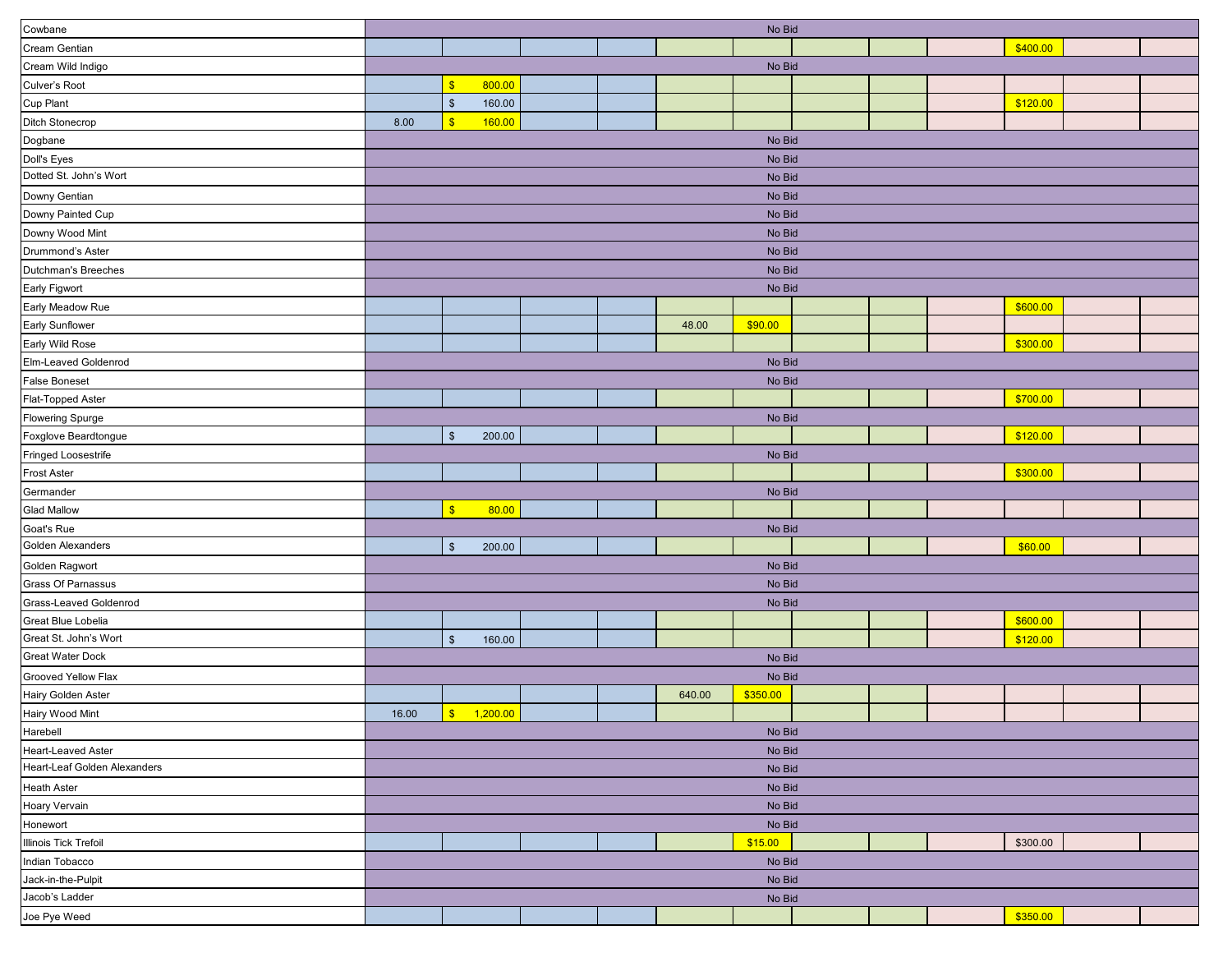| Cowbane                      |      |                              |  |  |        | No Bid   |  |  |  |          |  |  |  |  |
|------------------------------|------|------------------------------|--|--|--------|----------|--|--|--|----------|--|--|--|--|
| Cream Gentian                |      |                              |  |  |        |          |  |  |  | \$400.00 |  |  |  |  |
| Cream Wild Indigo            |      |                              |  |  |        | No Bid   |  |  |  |          |  |  |  |  |
| Culver's Root                |      | $\sqrt[3]{3}$<br>800.00      |  |  |        |          |  |  |  |          |  |  |  |  |
| Cup Plant                    |      | $\, \mathbb{S} \,$<br>160.00 |  |  |        |          |  |  |  | \$120.00 |  |  |  |  |
| Ditch Stonecrop              | 8.00 | $\sqrt[3]{5}$<br>160.00      |  |  |        |          |  |  |  |          |  |  |  |  |
| Dogbane                      |      |                              |  |  |        | No Bid   |  |  |  |          |  |  |  |  |
| Doll's Eyes                  |      |                              |  |  |        | No Bid   |  |  |  |          |  |  |  |  |
| Dotted St. John's Wort       |      |                              |  |  |        | No Bid   |  |  |  |          |  |  |  |  |
| Downy Gentian                |      |                              |  |  |        | No Bid   |  |  |  |          |  |  |  |  |
| Downy Painted Cup            |      |                              |  |  |        | No Bid   |  |  |  |          |  |  |  |  |
| Downy Wood Mint              |      |                              |  |  |        | No Bid   |  |  |  |          |  |  |  |  |
| Drummond's Aster             |      |                              |  |  |        | No Bid   |  |  |  |          |  |  |  |  |
| Dutchman's Breeches          |      | No Bid                       |  |  |        |          |  |  |  |          |  |  |  |  |
| Early Figwort                |      |                              |  |  |        | No Bid   |  |  |  |          |  |  |  |  |
| Early Meadow Rue             |      |                              |  |  |        |          |  |  |  | \$600.00 |  |  |  |  |
| Early Sunflower              |      |                              |  |  | 48.00  | \$90.00  |  |  |  |          |  |  |  |  |
| Early Wild Rose              |      |                              |  |  |        |          |  |  |  | \$300.00 |  |  |  |  |
| Elm-Leaved Goldenrod         |      |                              |  |  |        | No Bid   |  |  |  |          |  |  |  |  |
| <b>False Boneset</b>         |      |                              |  |  |        | No Bid   |  |  |  |          |  |  |  |  |
| Flat-Topped Aster            |      |                              |  |  |        |          |  |  |  | \$700.00 |  |  |  |  |
| Flowering Spurge             |      |                              |  |  |        | No Bid   |  |  |  |          |  |  |  |  |
| Foxglove Beardtongue         |      | $\frac{1}{2}$<br>200.00      |  |  |        |          |  |  |  | \$120.00 |  |  |  |  |
| Fringed Loosestrife          |      |                              |  |  |        | No Bid   |  |  |  |          |  |  |  |  |
| Frost Aster                  |      |                              |  |  |        |          |  |  |  | \$300.00 |  |  |  |  |
| Germander                    |      |                              |  |  |        | No Bid   |  |  |  |          |  |  |  |  |
| <b>Glad Mallow</b>           |      | $\sqrt[3]{5}$<br>80.00       |  |  |        |          |  |  |  |          |  |  |  |  |
| Goat's Rue                   |      |                              |  |  |        | No Bid   |  |  |  |          |  |  |  |  |
| Golden Alexanders            |      | $\sqrt[6]{3}$<br>200.00      |  |  |        |          |  |  |  | \$60.00  |  |  |  |  |
| Golden Ragwort               |      |                              |  |  |        | No Bid   |  |  |  |          |  |  |  |  |
| Grass Of Parnassus           |      |                              |  |  |        | No Bid   |  |  |  |          |  |  |  |  |
| Grass-Leaved Goldenrod       |      |                              |  |  |        | No Bid   |  |  |  |          |  |  |  |  |
| Great Blue Lobelia           |      |                              |  |  |        |          |  |  |  | \$600.00 |  |  |  |  |
| Great St. John's Wort        |      | $\sqrt[6]{2}$<br>160.00      |  |  |        |          |  |  |  | \$120.00 |  |  |  |  |
| Great Water Dock             |      |                              |  |  |        | No Bid   |  |  |  |          |  |  |  |  |
| Grooved Yellow Flax          |      |                              |  |  |        | No Bid   |  |  |  |          |  |  |  |  |
| Hairy Golden Aster           |      |                              |  |  | 640.00 | \$350.00 |  |  |  |          |  |  |  |  |
| Hairy Wood Mint              |      | 16.00 \$ 1,200.00            |  |  |        |          |  |  |  |          |  |  |  |  |
| Harebell                     |      |                              |  |  |        | No Bid   |  |  |  |          |  |  |  |  |
| Heart-Leaved Aster           |      |                              |  |  |        | No Bid   |  |  |  |          |  |  |  |  |
| Heart-Leaf Golden Alexanders |      |                              |  |  |        | No Bid   |  |  |  |          |  |  |  |  |
| <b>Heath Aster</b>           |      |                              |  |  |        | No Bid   |  |  |  |          |  |  |  |  |
| Hoary Vervain                |      |                              |  |  |        | No Bid   |  |  |  |          |  |  |  |  |
| Honewort                     |      |                              |  |  |        | No Bid   |  |  |  |          |  |  |  |  |
| Illinois Tick Trefoil        |      |                              |  |  |        | \$15.00  |  |  |  | \$300.00 |  |  |  |  |
| Indian Tobacco               |      |                              |  |  |        | No Bid   |  |  |  |          |  |  |  |  |
| Jack-in-the-Pulpit           |      |                              |  |  |        | No Bid   |  |  |  |          |  |  |  |  |
| Jacob's Ladder               |      |                              |  |  |        | No Bid   |  |  |  |          |  |  |  |  |
| Joe Pye Weed                 |      |                              |  |  |        |          |  |  |  | \$350.00 |  |  |  |  |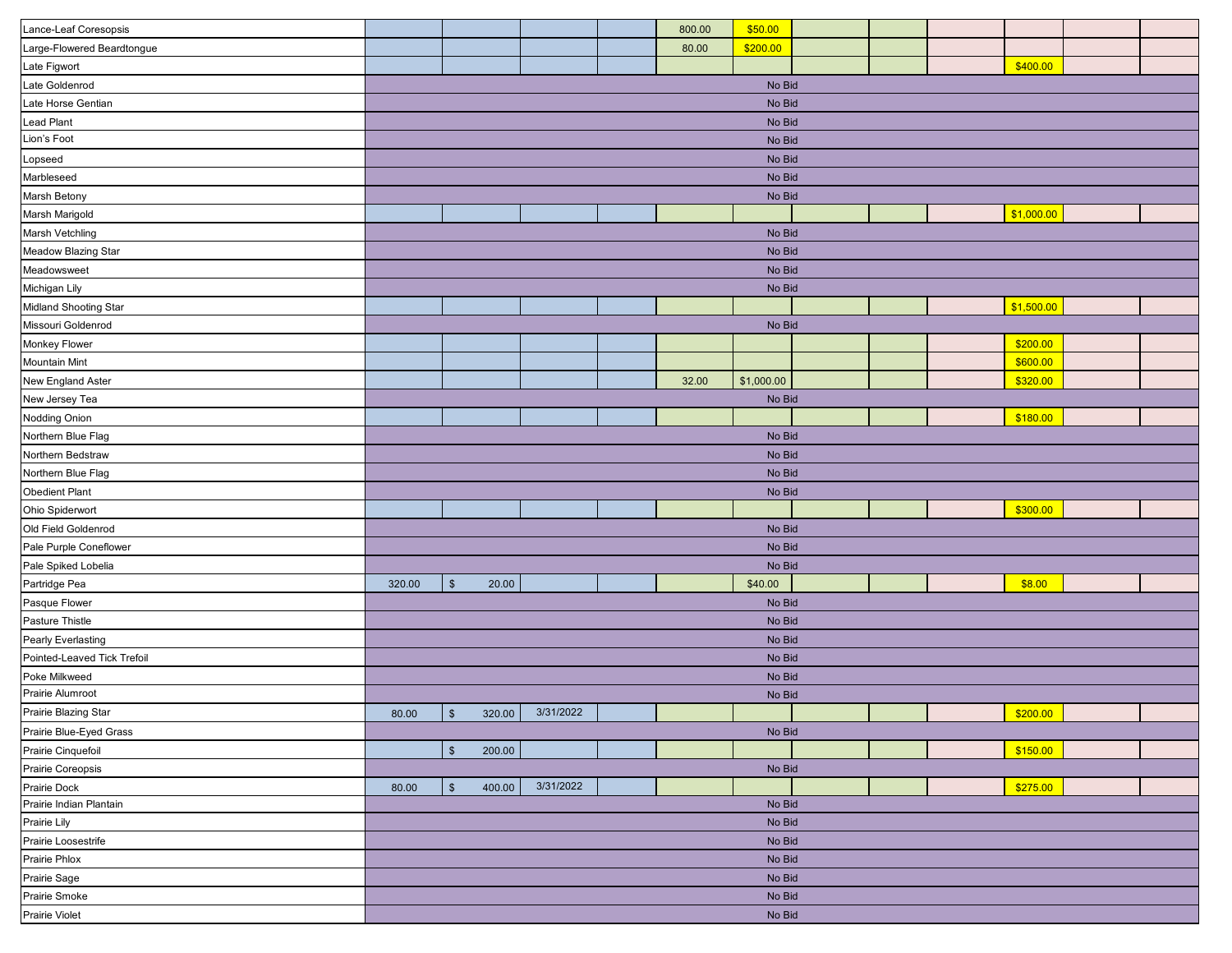| Lance-Leaf Coresopsis       |        |                                   |           |  | 800.00 | \$50.00    |  |  |  |            |  |  |  |  |
|-----------------------------|--------|-----------------------------------|-----------|--|--------|------------|--|--|--|------------|--|--|--|--|
| Large-Flowered Beardtongue  |        |                                   |           |  | 80.00  | \$200.00   |  |  |  |            |  |  |  |  |
| Late Figwort                |        |                                   |           |  |        |            |  |  |  | \$400.00   |  |  |  |  |
| Late Goldenrod              |        |                                   |           |  |        | No Bid     |  |  |  |            |  |  |  |  |
| Late Horse Gentian          |        |                                   |           |  |        | No Bid     |  |  |  |            |  |  |  |  |
| Lead Plant                  |        |                                   |           |  |        | No Bid     |  |  |  |            |  |  |  |  |
| Lion's Foot                 |        |                                   |           |  |        | No Bid     |  |  |  |            |  |  |  |  |
| Lopseed                     |        |                                   |           |  |        | No Bid     |  |  |  |            |  |  |  |  |
| Marbleseed                  |        |                                   |           |  |        | No Bid     |  |  |  |            |  |  |  |  |
| Marsh Betony                |        |                                   |           |  |        | No Bid     |  |  |  |            |  |  |  |  |
| Marsh Marigold              |        |                                   |           |  |        |            |  |  |  | \$1,000.00 |  |  |  |  |
| Marsh Vetchling             |        |                                   |           |  |        | No Bid     |  |  |  |            |  |  |  |  |
| Meadow Blazing Star         |        |                                   |           |  |        | No Bid     |  |  |  |            |  |  |  |  |
| Meadowsweet                 |        |                                   |           |  |        | No Bid     |  |  |  |            |  |  |  |  |
| Michigan Lily               |        |                                   |           |  |        | No Bid     |  |  |  |            |  |  |  |  |
| Midland Shooting Star       |        |                                   |           |  |        |            |  |  |  | \$1,500.00 |  |  |  |  |
| Missouri Goldenrod          |        |                                   |           |  |        | No Bid     |  |  |  |            |  |  |  |  |
| Monkey Flower               |        |                                   |           |  |        |            |  |  |  | \$200.00   |  |  |  |  |
| <b>Mountain Mint</b>        |        |                                   |           |  |        |            |  |  |  | \$600.00   |  |  |  |  |
| New England Aster           |        |                                   |           |  | 32.00  | \$1,000.00 |  |  |  | \$320.00   |  |  |  |  |
| New Jersey Tea              |        |                                   |           |  |        | No Bid     |  |  |  |            |  |  |  |  |
| Nodding Onion               |        |                                   |           |  |        |            |  |  |  | \$180.00   |  |  |  |  |
| Northern Blue Flag          |        | No Bid                            |           |  |        |            |  |  |  |            |  |  |  |  |
| Northern Bedstraw           | No Bid |                                   |           |  |        |            |  |  |  |            |  |  |  |  |
| Northern Blue Flag          | No Bid |                                   |           |  |        |            |  |  |  |            |  |  |  |  |
| <b>Obedient Plant</b>       |        |                                   |           |  |        | No Bid     |  |  |  |            |  |  |  |  |
| Ohio Spiderwort             |        |                                   |           |  |        |            |  |  |  | \$300.00   |  |  |  |  |
| Old Field Goldenrod         |        |                                   |           |  |        | No Bid     |  |  |  |            |  |  |  |  |
| Pale Purple Coneflower      |        |                                   |           |  |        | No Bid     |  |  |  |            |  |  |  |  |
| Pale Spiked Lobelia         |        |                                   |           |  |        | No Bid     |  |  |  |            |  |  |  |  |
| Partridge Pea               | 320.00 | $\sqrt[6]{3}$<br>20.00            |           |  |        | \$40.00    |  |  |  | \$8.00     |  |  |  |  |
| Pasque Flower               |        |                                   |           |  |        | No Bid     |  |  |  |            |  |  |  |  |
| Pasture Thistle             |        |                                   |           |  |        | No Bid     |  |  |  |            |  |  |  |  |
| Pearly Everlasting          |        |                                   |           |  |        | No Bid     |  |  |  |            |  |  |  |  |
| Pointed-Leaved Tick Trefoil |        |                                   |           |  |        | No Bid     |  |  |  |            |  |  |  |  |
| Poke Milkweed               |        |                                   |           |  |        | No Bid     |  |  |  |            |  |  |  |  |
| Prairie Alumroot            |        |                                   |           |  |        | No Bid     |  |  |  |            |  |  |  |  |
| Prairie Blazing Star        | 80.00  | $\sqrt[6]{3}$<br>320.00           | 3/31/2022 |  |        |            |  |  |  | \$200.00   |  |  |  |  |
| Prairie Blue-Eyed Grass     |        |                                   |           |  |        | No Bid     |  |  |  |            |  |  |  |  |
| Prairie Cinquefoil          |        | $\sqrt[6]{\frac{1}{2}}$<br>200.00 |           |  |        |            |  |  |  | \$150.00   |  |  |  |  |
| Prairie Coreopsis           |        |                                   |           |  |        | No Bid     |  |  |  |            |  |  |  |  |
| Prairie Dock                | 80.00  | $\sqrt[6]{\frac{1}{2}}$<br>400.00 | 3/31/2022 |  |        |            |  |  |  | \$275.00   |  |  |  |  |
| Prairie Indian Plantain     |        |                                   |           |  |        | No Bid     |  |  |  |            |  |  |  |  |
| Prairie Lily                |        |                                   |           |  |        | No Bid     |  |  |  |            |  |  |  |  |
| Prairie Loosestrife         |        |                                   |           |  |        | No Bid     |  |  |  |            |  |  |  |  |
| Prairie Phlox               |        |                                   |           |  |        | No Bid     |  |  |  |            |  |  |  |  |
| Prairie Sage                |        |                                   |           |  |        | No Bid     |  |  |  |            |  |  |  |  |
| Prairie Smoke               |        |                                   |           |  |        | No Bid     |  |  |  |            |  |  |  |  |
| Prairie Violet              |        |                                   |           |  |        | No Bid     |  |  |  |            |  |  |  |  |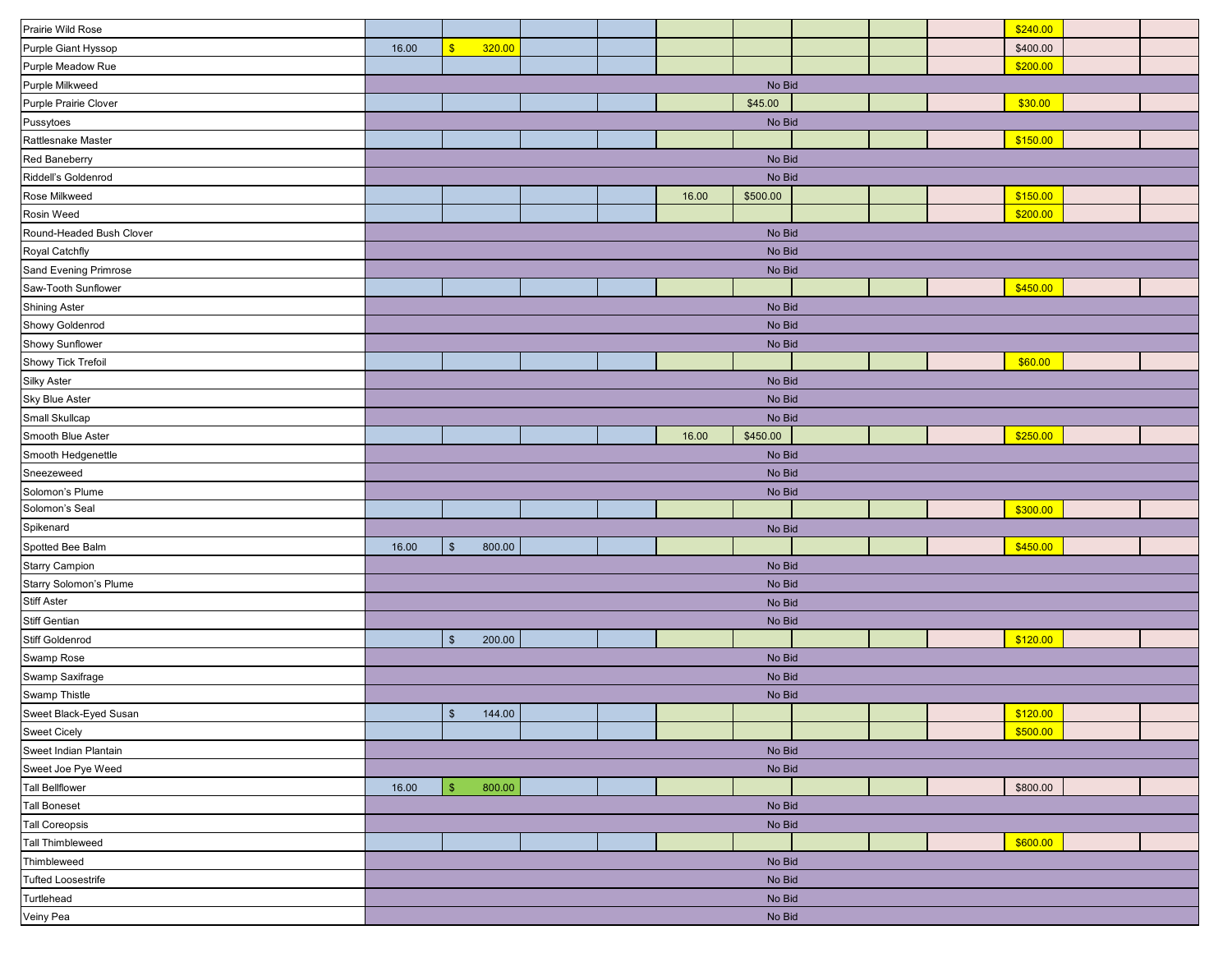| Prairie Wild Rose         |        |                         |  |  |       |          |  |  |  | \$240.00 |  |  |  |
|---------------------------|--------|-------------------------|--|--|-------|----------|--|--|--|----------|--|--|--|
| Purple Giant Hyssop       | 16.00  | $\frac{1}{2}$<br>320.00 |  |  |       |          |  |  |  | \$400.00 |  |  |  |
| Purple Meadow Rue         |        |                         |  |  |       |          |  |  |  | \$200.00 |  |  |  |
| Purple Milkweed           |        |                         |  |  |       | No Bid   |  |  |  |          |  |  |  |
| Purple Prairie Clover     |        |                         |  |  |       | \$45.00  |  |  |  | \$30.00  |  |  |  |
| Pussytoes                 |        |                         |  |  |       | No Bid   |  |  |  |          |  |  |  |
| Rattlesnake Master        |        |                         |  |  |       |          |  |  |  | \$150.00 |  |  |  |
| Red Baneberry             |        |                         |  |  |       | No Bid   |  |  |  |          |  |  |  |
| Riddell's Goldenrod       |        |                         |  |  |       | No Bid   |  |  |  |          |  |  |  |
| Rose Milkweed             |        |                         |  |  | 16.00 | \$500.00 |  |  |  | \$150.00 |  |  |  |
| Rosin Weed                |        |                         |  |  |       |          |  |  |  | \$200.00 |  |  |  |
| Round-Headed Bush Clover  |        |                         |  |  |       | No Bid   |  |  |  |          |  |  |  |
| Royal Catchfly            |        |                         |  |  |       | No Bid   |  |  |  |          |  |  |  |
| Sand Evening Primrose     |        |                         |  |  |       | No Bid   |  |  |  |          |  |  |  |
| Saw-Tooth Sunflower       |        |                         |  |  |       |          |  |  |  | \$450.00 |  |  |  |
| <b>Shining Aster</b>      |        |                         |  |  |       | No Bid   |  |  |  |          |  |  |  |
| Showy Goldenrod           |        |                         |  |  |       | No Bid   |  |  |  |          |  |  |  |
| Showy Sunflower           |        |                         |  |  |       | No Bid   |  |  |  |          |  |  |  |
| Showy Tick Trefoil        |        |                         |  |  |       |          |  |  |  | \$60.00  |  |  |  |
| Silky Aster               |        |                         |  |  |       | No Bid   |  |  |  |          |  |  |  |
| Sky Blue Aster            | No Bid |                         |  |  |       |          |  |  |  |          |  |  |  |
| Small Skullcap            |        |                         |  |  |       | No Bid   |  |  |  |          |  |  |  |
| Smooth Blue Aster         |        |                         |  |  | 16.00 | \$450.00 |  |  |  | \$250.00 |  |  |  |
| Smooth Hedgenettle        | No Bid |                         |  |  |       |          |  |  |  |          |  |  |  |
| Sneezeweed                | No Bid |                         |  |  |       |          |  |  |  |          |  |  |  |
| Solomon's Plume           |        |                         |  |  |       | No Bid   |  |  |  |          |  |  |  |
| Solomon's Seal            |        |                         |  |  |       |          |  |  |  | \$300.00 |  |  |  |
| Spikenard                 |        |                         |  |  |       | No Bid   |  |  |  |          |  |  |  |
| Spotted Bee Balm          | 16.00  | $\frac{1}{2}$<br>800.00 |  |  |       |          |  |  |  | \$450.00 |  |  |  |
| <b>Starry Campion</b>     |        |                         |  |  |       | No Bid   |  |  |  |          |  |  |  |
| Starry Solomon's Plume    |        |                         |  |  |       | No Bid   |  |  |  |          |  |  |  |
| Stiff Aster               |        |                         |  |  |       | No Bid   |  |  |  |          |  |  |  |
| Stiff Gentian             |        |                         |  |  |       | No Bid   |  |  |  |          |  |  |  |
| Stiff Goldenrod           |        | $\sqrt[6]{3}$<br>200.00 |  |  |       |          |  |  |  | \$120.00 |  |  |  |
| Swamp Rose                |        |                         |  |  |       | No Bid   |  |  |  |          |  |  |  |
| Swamp Saxifrage           |        |                         |  |  |       | No Bid   |  |  |  |          |  |  |  |
| Swamp Thistle             |        |                         |  |  |       | No Bid   |  |  |  |          |  |  |  |
| Sweet Black-Eyed Susan    |        | 144.00<br>$\sqrt{3}$    |  |  |       |          |  |  |  | \$120.00 |  |  |  |
| <b>Sweet Cicely</b>       |        |                         |  |  |       |          |  |  |  | \$500.00 |  |  |  |
| Sweet Indian Plantain     |        |                         |  |  |       | No Bid   |  |  |  |          |  |  |  |
| Sweet Joe Pye Weed        |        |                         |  |  |       | No Bid   |  |  |  |          |  |  |  |
| <b>Tall Bellflower</b>    | 16.00  | $\sqrt{2}$<br>800.00    |  |  |       |          |  |  |  | \$800.00 |  |  |  |
| <b>Tall Boneset</b>       |        |                         |  |  |       | No Bid   |  |  |  |          |  |  |  |
| <b>Tall Coreopsis</b>     |        |                         |  |  |       | No Bid   |  |  |  |          |  |  |  |
| <b>Tall Thimbleweed</b>   |        |                         |  |  |       |          |  |  |  | \$600.00 |  |  |  |
| Thimbleweed               |        |                         |  |  |       | No Bid   |  |  |  |          |  |  |  |
| <b>Tufted Loosestrife</b> |        |                         |  |  |       | No Bid   |  |  |  |          |  |  |  |
| Turtlehead                |        |                         |  |  |       | No Bid   |  |  |  |          |  |  |  |
| Veiny Pea                 |        |                         |  |  |       | No Bid   |  |  |  |          |  |  |  |
|                           |        |                         |  |  |       |          |  |  |  |          |  |  |  |